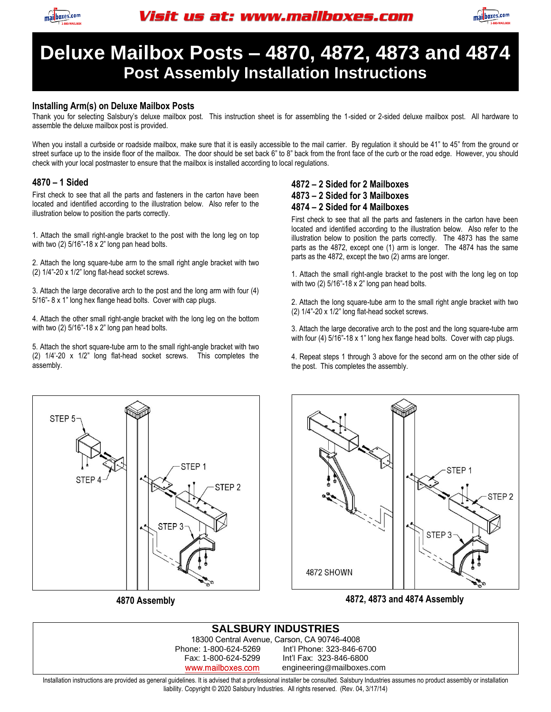



# **Deluxe Mailbox Posts – 4870, 4872, 4873 and 4874 Post Assembly Installation Instructions**

#### **Installing Arm(s) on Deluxe Mailbox Posts**

Thank you for selecting Salsbury's deluxe mailbox post. This instruction sheet is for assembling the 1-sided or 2-sided deluxe mailbox post. All hardware to assemble the deluxe mailbox post is provided.

When you install a curbside or roadside mailbox, make sure that it is easily accessible to the mail carrier. By regulation it should be 41" to 45" from the ground or street surface up to the inside floor of the mailbox. The door should be set back 6" to 8" back from the front face of the curb or the road edge. However, you should check with your local postmaster to ensure that the mailbox is installed according to local regulations.

#### **4870 – 1 Sided**

First check to see that all the parts and fasteners in the carton have been located and identified according to the illustration below. Also refer to the illustration below to position the parts correctly.

1. Attach the small right-angle bracket to the post with the long leg on top with two (2) 5/16"-18 x 2" long pan head bolts.

2. Attach the long square-tube arm to the small right angle bracket with two (2) 1/4"-20 x 1/2" long flat-head socket screws.

3. Attach the large decorative arch to the post and the long arm with four (4) 5/16"- 8 x 1" long hex flange head bolts. Cover with cap plugs.

4. Attach the other small right-angle bracket with the long leg on the bottom with two (2) 5/16"-18 x 2" long pan head bolts.

5. Attach the short square-tube arm to the small right-angle bracket with two (2) 1/4'-20 x 1/2" long flat-head socket screws. This completes the assembly.

### **4872 – 2 Sided for 2 Mailboxes 4873 – 2 Sided for 3 Mailboxes 4874 – 2 Sided for 4 Mailboxes**

First check to see that all the parts and fasteners in the carton have been located and identified according to the illustration below. Also refer to the illustration below to position the parts correctly. The 4873 has the same parts as the 4872, except one (1) arm is longer. The 4874 has the same parts as the 4872, except the two (2) arms are longer.

1. Attach the small right-angle bracket to the post with the long leg on top with two (2) 5/16"-18 x 2" long pan head bolts.

2. Attach the long square-tube arm to the small right angle bracket with two (2) 1/4"-20 x 1/2" long flat-head socket screws.

3. Attach the large decorative arch to the post and the long square-tube arm with four (4) 5/16"-18 x 1" long hex flange head bolts. Cover with cap plugs.

4. Repeat steps 1 through 3 above for the second arm on the other side of the post. This completes the assembly.



**4870 Assembly** 



**4872, 4873 and 4874 Assembly** 

| 18300 Central Avenue, Carson, CA 90746-4008<br>Int'l Phone: 323-846-6700<br>Phone: 1-800-624-5269<br>Int'l Fax: 323-846-6800<br>Fax: 1-800-624-5299 | <b>SALSBURY INDUSTRIES</b> |                           |  |
|-----------------------------------------------------------------------------------------------------------------------------------------------------|----------------------------|---------------------------|--|
|                                                                                                                                                     |                            |                           |  |
|                                                                                                                                                     |                            |                           |  |
|                                                                                                                                                     |                            |                           |  |
|                                                                                                                                                     | www.mailboxes.com          | engineering@mailboxes.com |  |

Installation instructions are provided as general guidelines. It is advised that a professional installer be consulted. Salsbury Industries assumes no product assembly or installation liability. Copyright © 2020 Salsbury Industries. All rights reserved. (Rev. 04, 3/17/14)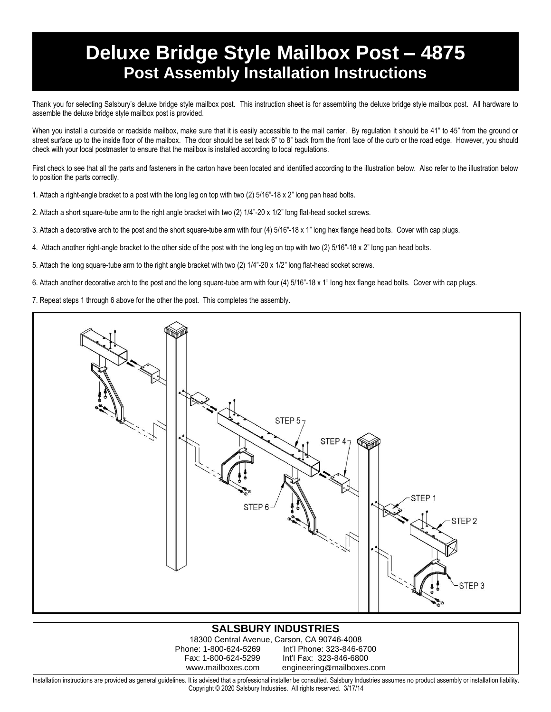# **Deluxe Bridge Style Mailbox Post – 4875 Post Assembly Installation Instructions**

Thank you for selecting Salsbury's deluxe bridge style mailbox post. This instruction sheet is for assembling the deluxe bridge style mailbox post. All hardware to assemble the deluxe bridge style mailbox post is provided.

When you install a curbside or roadside mailbox, make sure that it is easily accessible to the mail carrier. By requlation it should be 41" to 45" from the ground or street surface up to the inside floor of the mailbox. The door should be set back 6" to 8" back from the front face of the curb or the road edge. However, you should check with your local postmaster to ensure that the mailbox is installed according to local regulations.

First check to see that all the parts and fasteners in the carton have been located and identified according to the illustration below. Also refer to the illustration below to position the parts correctly.

1. Attach a right-angle bracket to a post with the long leg on top with two (2) 5/16"-18 x 2" long pan head bolts.

- 2. Attach a short square-tube arm to the right angle bracket with two (2) 1/4"-20 x 1/2" long flat-head socket screws.
- 3. Attach a decorative arch to the post and the short square-tube arm with four (4) 5/16"-18 x 1" long hex flange head bolts. Cover with cap plugs.
- 4. Attach another right-angle bracket to the other side of the post with the long leg on top with two (2) 5/16"-18 x 2" long pan head bolts.
- 5. Attach the long square-tube arm to the right angle bracket with two (2) 1/4"-20 x 1/2" long flat-head socket screws.
- 6. Attach another decorative arch to the post and the long square-tube arm with four (4) 5/16"-18 x 1" long hex flange head bolts. Cover with cap plugs.
- 7. Repeat steps 1 through 6 above for the other the post. This completes the assembly.



### **SALSBURY INDUSTRIES**

18300 Central Avenue, Carson, CA 90746-4008 Phone: 1-800-624-5269 Int'l Phone: 323-846-6700 Int'l Fax: 323-846-6800 www.mailboxes.com engineering@mailboxes.com

Installation instructions are provided as general guidelines. It is advised that a professional installer be consulted. Salsbury Industries assumes no product assembly or installation liability. Copyright © 2020 Salsbury Industries. All rights reserved. 3/17/14